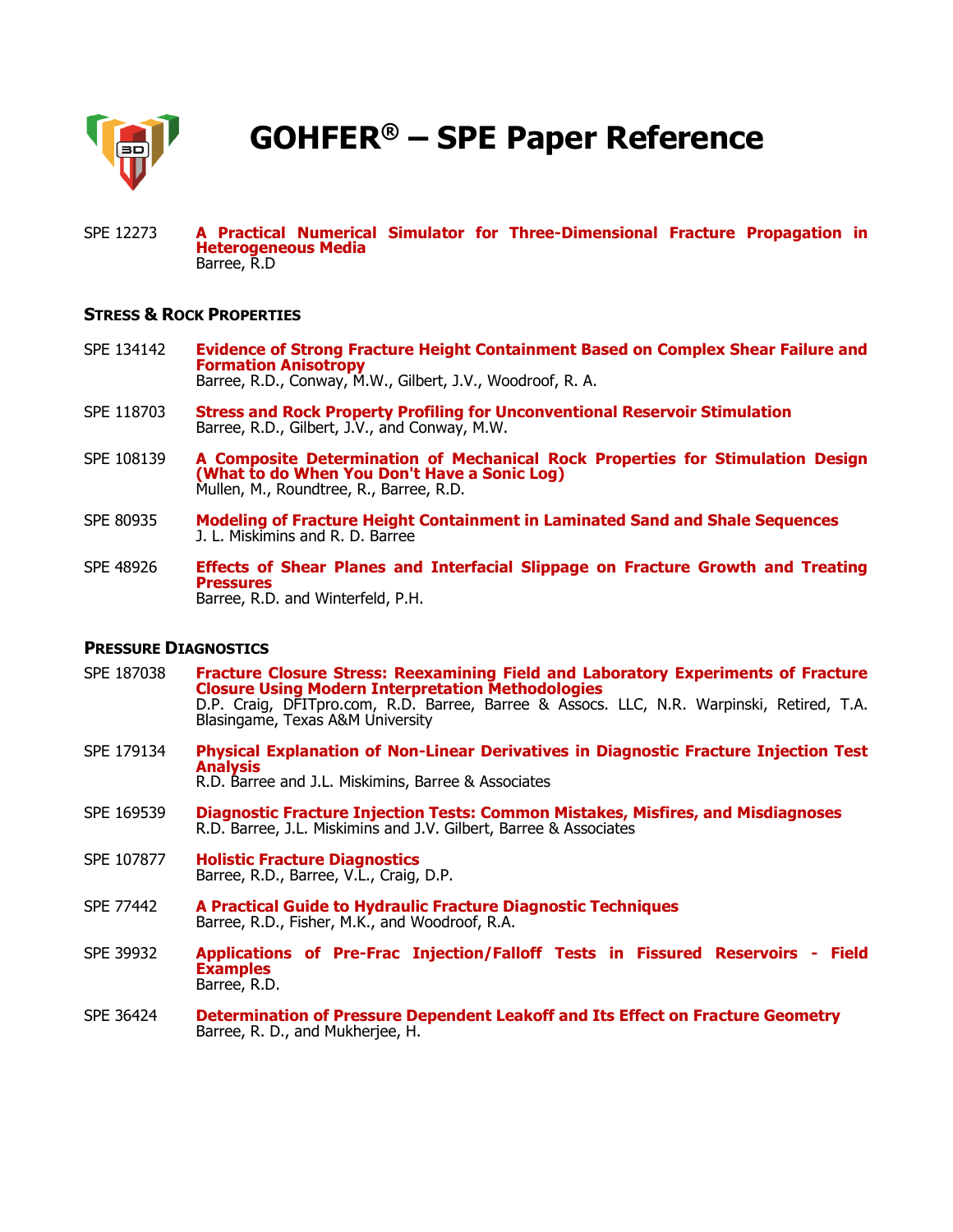

**GOHFER® – SPE Paper Reference**

SPE 12273 **A Practical Numerical Simulator for Three-Dimensional Fracture Propagation in Heterogeneous Media** Barree, R.D

## **STRESS & ROCK PROPERTIES**

- SPE 134142 **Evidence of Strong Fracture Height Containment Based on Complex Shear Failure and Formation Anisotropy** Barree, R.D., Conway, M.W., Gilbert, J.V., Woodroof, R. A.
- SPE 118703 **Stress and Rock Property Profiling for Unconventional Reservoir Stimulation** Barree, R.D., Gilbert, J.V., and Conway, M.W.
- SPE 108139 **A Composite Determination of Mechanical Rock Properties for Stimulation Design (What to do When You Don't Have a Sonic Log)** Mullen, M., Roundtree, R., Barree, R.D.
- SPE 80935 **Modeling of Fracture Height Containment in Laminated Sand and Shale Sequences** J. L. Miskimins and R. D. Barree
- SPE 48926 **Effects of Shear Planes and Interfacial Slippage on Fracture Growth and Treating Pressures** Barree, R.D. and Winterfeld, P.H.

#### **PRESSURE DIAGNOSTICS**

- SPE 187038 **Fracture Closure Stress: Reexamining Field and Laboratory Experiments of Fracture Closure Using Modern Interpretation Methodologies** D.P. Craig, DFITpro.com, R.D. Barree, Barree & Assocs. LLC, N.R. Warpinski, Retired, T.A. Blasingame, Texas A&M University
- SPE 179134 **Physical Explanation of Non-Linear Derivatives in Diagnostic Fracture Injection Test Analysis** R.D. Barree and J.L. Miskimins, Barree & Associates
- SPE 169539 **Diagnostic Fracture Injection Tests: Common Mistakes, Misfires, and Misdiagnoses** R.D. Barree, J.L. Miskimins and J.V. Gilbert, Barree & Associates
- SPE 107877 **Holistic Fracture Diagnostics** Barree, R.D., Barree, V.L., Craig, D.P.
- SPE 77442 **A Practical Guide to Hydraulic Fracture Diagnostic Techniques** Barree, R.D., Fisher, M.K., and Woodroof, R.A.
- SPE 39932 **Applications of Pre-Frac Injection/Falloff Tests in Fissured Reservoirs - Field Examples** Barree, R.D.
- SPE 36424 **Determination of Pressure Dependent Leakoff and Its Effect on Fracture Geometry** Barree, R. D., and Mukherjee, H.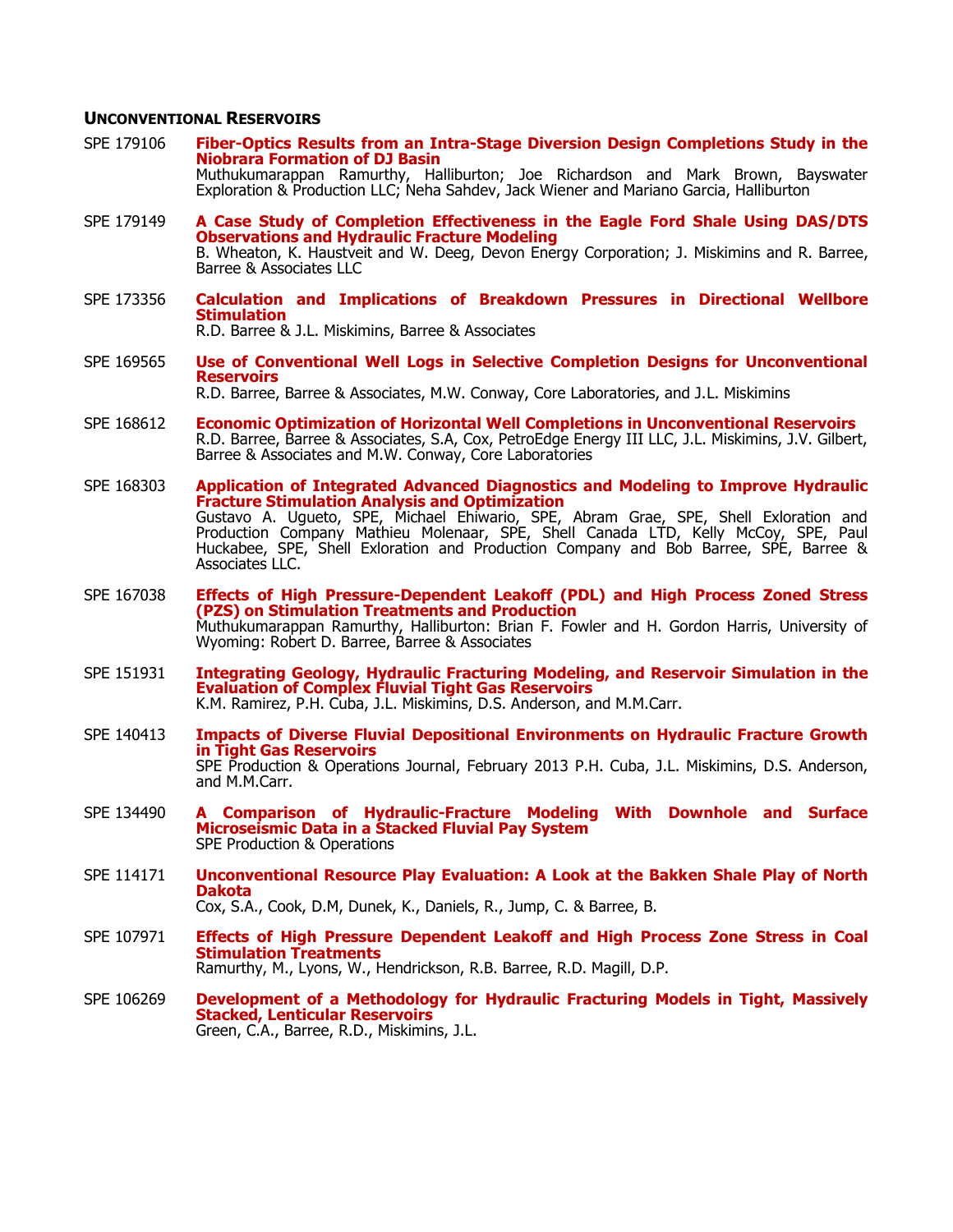### **UNCONVENTIONAL RESERVOIRS**

- SPE 179106 **Fiber-Optics Results from an Intra-Stage Diversion Design Completions Study in the Niobrara Formation of DJ Basin** Muthukumarappan Ramurthy, Halliburton; Joe Richardson and Mark Brown, Bayswater Exploration & Production LLC; Neha Sahdev, Jack Wiener and Mariano Garcia, Halliburton
- SPE 179149 **A Case Study of Completion Effectiveness in the Eagle Ford Shale Using DAS/DTS Observations and Hydraulic Fracture Modeling** B. Wheaton, K. Haustveit and W. Deeg, Devon Energy Corporation; J. Miskimins and R. Barree, Barree & Associates LLC
- SPE 173356 **Calculation and Implications of Breakdown Pressures in Directional Wellbore Stimulation**

R.D. Barree & J.L. Miskimins, Barree & Associates

SPE 169565 **Use of Conventional Well Logs in Selective Completion Designs for Unconventional Reservoirs**

R.D. Barree, Barree & Associates, M.W. Conway, Core Laboratories, and J.L. Miskimins

- SPE 168612 **Economic Optimization of Horizontal Well Completions in Unconventional Reservoirs** R.D. Barree, Barree & Associates, S.A, Cox, PetroEdge Energy III LLC, J.L. Miskimins, J.V. Gilbert, Barree & Associates and M.W. Conway, Core Laboratories
- SPE 168303 **Application of Integrated Advanced Diagnostics and Modeling to Improve Hydraulic Fracture Stimulation Analysis and Optimization** Gustavo A. Ugueto, SPE, Michael Ehiwario, SPE, Abram Grae, SPE, Shell Exloration and Production Company Mathieu Molenaar, SPE, Shell Canada LTD, Kelly McCoy, SPE, Paul Huckabee, SPE, Shell Exloration and Production Company and Bob Barree, SPE, Barree & Associates LLC.
- SPE 167038 **Effects of High Pressure-Dependent Leakoff (PDL) and High Process Zoned Stress (PZS) on Stimulation Treatments and Production** Muthukumarappan Ramurthy, Halliburton: Brian F. Fowler and H. Gordon Harris, University of Wyoming: Robert D. Barree, Barree & Associates
- SPE 151931 **Integrating Geology, Hydraulic Fracturing Modeling, and Reservoir Simulation in the Evaluation of Complex Fluvial Tight Gas Reservoirs** K.M. Ramirez, P.H. Cuba, J.L. Miskimins, D.S. Anderson, and M.M.Carr.
- SPE 140413 **Impacts of Diverse Fluvial Depositional Environments on Hydraulic Fracture Growth in Tight Gas Reservoirs** SPE Production & Operations Journal, February 2013 P.H. Cuba, J.L. Miskimins, D.S. Anderson, and M.M.Carr.
- SPE 134490 **A Comparison of Hydraulic-Fracture Modeling With Downhole and Surface Microseismic Data in a Stacked Fluvial Pay System** SPE Production & Operations
- SPE 114171 **Unconventional Resource Play Evaluation: A Look at the Bakken Shale Play of North Dakota** Cox, S.A., Cook, D.M, Dunek, K., Daniels, R., Jump, C. & Barree, B.
- SPE 107971 **Effects of High Pressure Dependent Leakoff and High Process Zone Stress in Coal Stimulation Treatments** Ramurthy, M., Lyons, W., Hendrickson, R.B. Barree, R.D. Magill, D.P.
- SPE 106269 **Development of a Methodology for Hydraulic Fracturing Models in Tight, Massively Stacked, Lenticular Reservoirs** Green, C.A., Barree, R.D., Miskimins, J.L.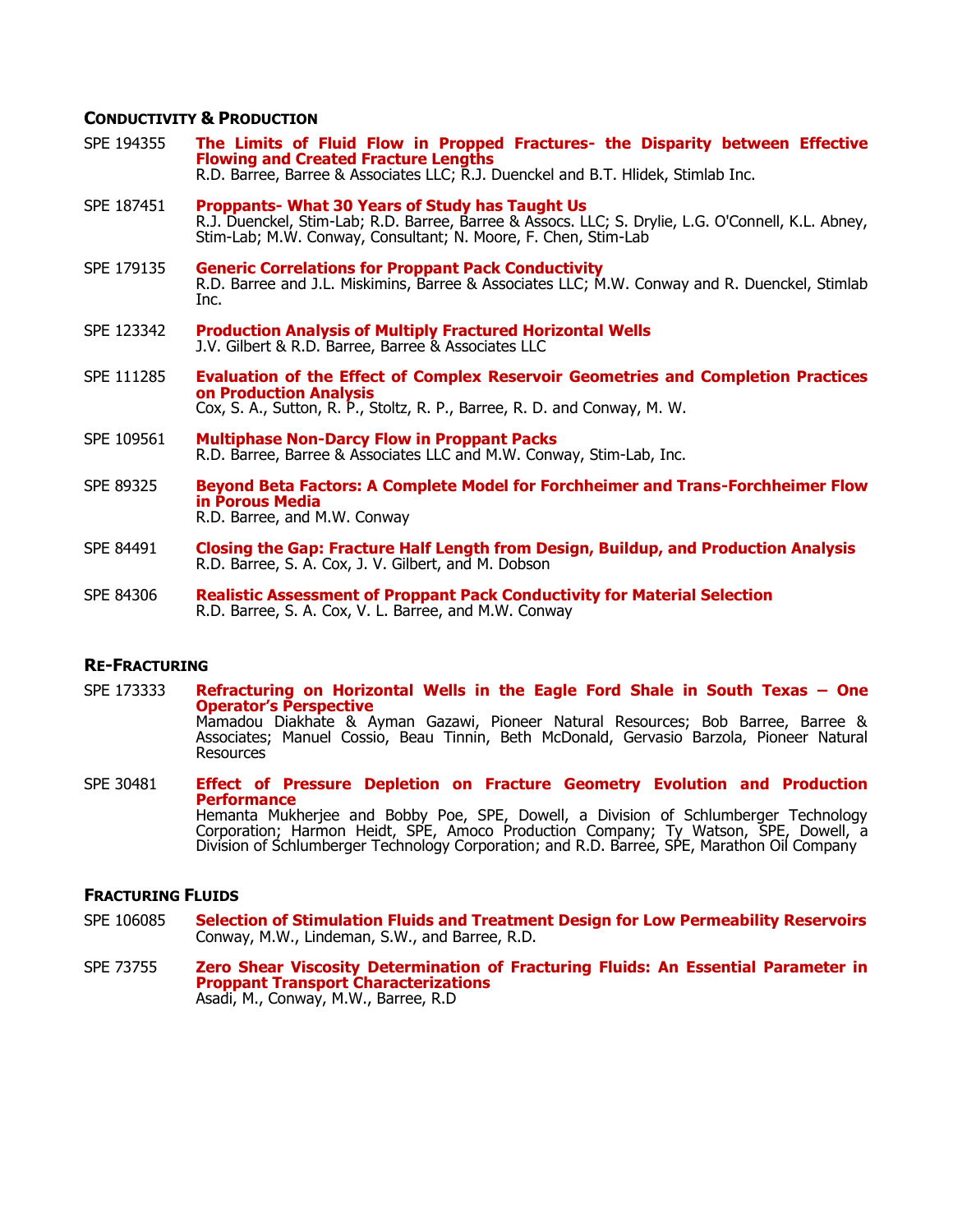# **CONDUCTIVITY & PRODUCTION**

SPE 194355 **The Limits of Fluid Flow in Propped Fractures- the Disparity between Effective Flowing and Created Fracture Lengths** R.D. Barree, Barree & Associates LLC; R.J. Duenckel and B.T. Hlidek, Stimlab Inc. SPE 187451 **Proppants- What 30 Years of Study has Taught Us**  R.J. Duenckel, Stim-Lab; R.D. Barree, Barree & Assocs. LLC; S. Drylie, L.G. O'Connell, K.L. Abney, Stim-Lab; M.W. Conway, Consultant; N. Moore, F. Chen, Stim-Lab SPE 179135 **Generic Correlations for Proppant Pack Conductivity** R.D. Barree and J.L. Miskimins, Barree & Associates LLC; M.W. Conway and R. Duenckel, Stimlab Inc. SPE 123342 **Production Analysis of Multiply Fractured Horizontal Wells** J.V. Gilbert & R.D. Barree, Barree & Associates LLC SPE 111285 **Evaluation of the Effect of Complex Reservoir Geometries and Completion Practices on Production Analysis** Cox, S. A., Sutton, R. P., Stoltz, R. P., Barree, R. D. and Conway, M. W. SPE 109561 **Multiphase Non-Darcy Flow in Proppant Packs** R.D. Barree, Barree & Associates LLC and M.W. Conway, Stim-Lab, Inc. SPE 89325 **Beyond Beta Factors: A Complete Model for Forchheimer and Trans-Forchheimer Flow in Porous Media** R.D. Barree, and M.W. Conway SPE 84491 **Closing the Gap: Fracture Half Length from Design, Buildup, and Production Analysis** R.D. Barree, S. A. Cox, J. V. Gilbert, and M. Dobson SPE 84306 **Realistic Assessment of Proppant Pack Conductivity for Material Selection** R.D. Barree, S. A. Cox, V. L. Barree, and M.W. Conway

# **RE-FRACTURING**

- SPE 173333 **Refracturing on Horizontal Wells in the Eagle Ford Shale in South Texas – One Operator's Perspective** Mamadou Diakhate & Ayman Gazawi, Pioneer Natural Resources; Bob Barree, Barree & Associates; Manuel Cossio, Beau Tinnin, Beth McDonald, Gervasio Barzola, Pioneer Natural Resources
- SPE 30481 **Effect of Pressure Depletion on Fracture Geometry Evolution and Production Performance** Hemanta Mukherjee and Bobby Poe, SPE, Dowell, a Division of Schlumberger Technology Corporation; Harmon Heidt, SPE, Amoco Production Company; Ty Watson, SPE, Dowell, a Division of Schlumberger Technology Corporation; and R.D. Barree, SPE, Marathon Oil Company

# **FRACTURING FLUIDS**

- SPE 106085 **Selection of Stimulation Fluids and Treatment Design for Low Permeability Reservoirs** Conway, M.W., Lindeman, S.W., and Barree, R.D.
- SPE 73755 **Zero Shear Viscosity Determination of Fracturing Fluids: An Essential Parameter in Proppant Transport Characterizations** Asadi, M., Conway, M.W., Barree, R.D